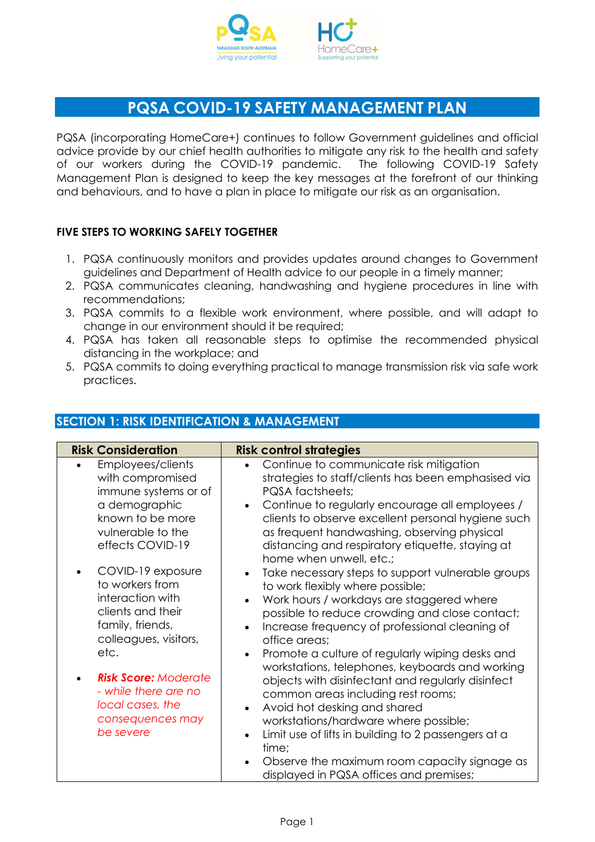

# PQSA COVID-19 SAFETY MANAGEMENT PLAN

PQSA (incorporating HomeCare+) continues to follow Government guidelines and official advice provide by our chief health authorities to mitigate any risk to the health and safety of our workers during the COVID-19 pandemic. The following COVID-19 Safety Management Plan is designed to keep the key messages at the forefront of our thinking and behaviours, and to have a plan in place to mitigate our risk as an organisation.

#### FIVE STEPS TO WORKING SAFELY TOGETHER

- 1. PQSA continuously monitors and provides updates around changes to Government guidelines and Department of Health advice to our people in a timely manner;
- 2. PQSA communicates cleaning, handwashing and hygiene procedures in line with recommendations;
- 3. PQSA commits to a flexible work environment, where possible, and will adapt to change in our environment should it be required;
- 4. PQSA has taken all reasonable steps to optimise the recommended physical distancing in the workplace; and
- 5. PQSA commits to doing everything practical to manage transmission risk via safe work practices.

| <b>Risk Consideration</b>                                                                                                  | <b>Risk control strategies</b>                                                                                                                                                                                                                                                                                                                                                |
|----------------------------------------------------------------------------------------------------------------------------|-------------------------------------------------------------------------------------------------------------------------------------------------------------------------------------------------------------------------------------------------------------------------------------------------------------------------------------------------------------------------------|
| Employees/clients<br>with compromised<br>immune systems or of                                                              | Continue to communicate risk mitigation<br>$\bullet$<br>strategies to staff/clients has been emphasised via<br>PQSA factsheets;                                                                                                                                                                                                                                               |
| a demographic<br>known to be more<br>vulnerable to the<br>effects COVID-19                                                 | Continue to regularly encourage all employees /<br>$\bullet$<br>clients to observe excellent personal hygiene such<br>as frequent handwashing, observing physical<br>distancing and respiratory etiquette, staying at<br>home when unwell, etc.;                                                                                                                              |
| COVID-19 exposure<br>to workers from<br>interaction with<br>clients and their<br>family, friends,<br>colleagues, visitors, | Take necessary steps to support vulnerable groups<br>$\bullet$<br>to work flexibly where possible;<br>Work hours / workdays are staggered where<br>$\bullet$<br>possible to reduce crowding and close contact;<br>Increase frequency of professional cleaning of<br>$\bullet$<br>office areas;                                                                                |
| etc.<br><b>Risk Score: Moderate</b><br>- while there are no<br>local cases, the<br>consequences may<br>be severe           | Promote a culture of regularly wiping desks and<br>$\bullet$<br>workstations, telephones, keyboards and working<br>objects with disinfectant and regularly disinfect<br>common areas including rest rooms;<br>Avoid hot desking and shared<br>$\bullet$<br>workstations/hardware where possible;<br>Limit use of lifts in building to 2 passengers at a<br>$\bullet$<br>time; |
|                                                                                                                            | Observe the maximum room capacity signage as<br>$\bullet$<br>displayed in PQSA offices and premises;                                                                                                                                                                                                                                                                          |

### SECTION 1: RISK IDENTIFICATION & MANAGEMENT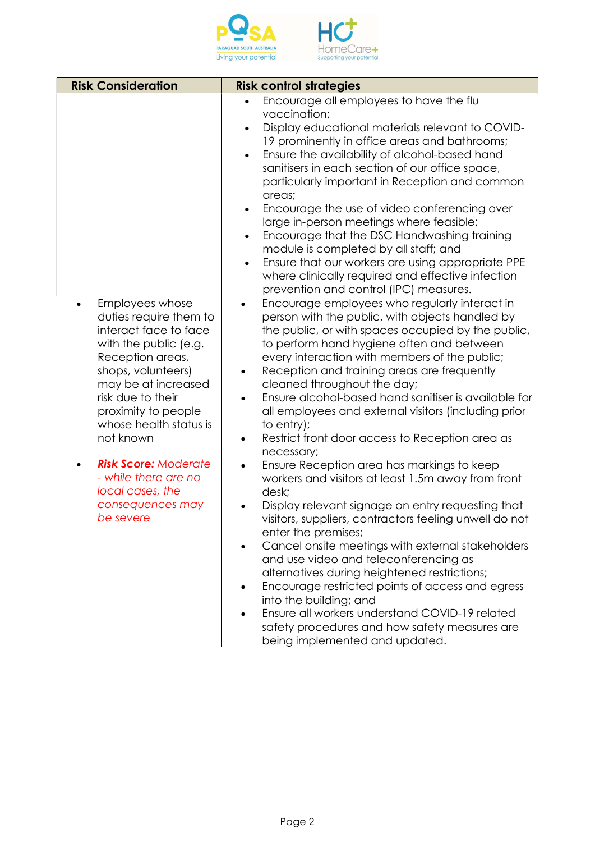

| <b>Risk Consideration</b>                                                                                                                                                                                                                                                                                                                                                | <b>Risk control strategies</b>                                                                                                                                                                                                                                                                                                                                                                                                                                                                                                                                                                                                                                                                                                                                                                                                                                                                                                                                                                                                                                                                                                                                                                            |
|--------------------------------------------------------------------------------------------------------------------------------------------------------------------------------------------------------------------------------------------------------------------------------------------------------------------------------------------------------------------------|-----------------------------------------------------------------------------------------------------------------------------------------------------------------------------------------------------------------------------------------------------------------------------------------------------------------------------------------------------------------------------------------------------------------------------------------------------------------------------------------------------------------------------------------------------------------------------------------------------------------------------------------------------------------------------------------------------------------------------------------------------------------------------------------------------------------------------------------------------------------------------------------------------------------------------------------------------------------------------------------------------------------------------------------------------------------------------------------------------------------------------------------------------------------------------------------------------------|
|                                                                                                                                                                                                                                                                                                                                                                          | Encourage all employees to have the flu<br>$\bullet$<br>vaccination;<br>Display educational materials relevant to COVID-<br>19 prominently in office areas and bathrooms;<br>Ensure the availability of alcohol-based hand<br>$\bullet$<br>sanitisers in each section of our office space,<br>particularly important in Reception and common<br>areas;<br>Encourage the use of video conferencing over<br>$\bullet$<br>large in-person meetings where feasible;<br>Encourage that the DSC Handwashing training<br>$\bullet$<br>module is completed by all staff; and<br>Ensure that our workers are using appropriate PPE<br>$\bullet$<br>where clinically required and effective infection<br>prevention and control (IPC) measures.                                                                                                                                                                                                                                                                                                                                                                                                                                                                     |
| Employees whose<br>$\bullet$<br>duties require them to<br>interact face to face<br>with the public (e.g.<br>Reception areas,<br>shops, volunteers)<br>may be at increased<br>risk due to their<br>proximity to people<br>whose health status is<br>not known<br><b>Risk Score: Moderate</b><br>- while there are no<br>local cases, the<br>consequences may<br>be severe | Encourage employees who regularly interact in<br>$\bullet$<br>person with the public, with objects handled by<br>the public, or with spaces occupied by the public,<br>to perform hand hygiene often and between<br>every interaction with members of the public;<br>Reception and training areas are frequently<br>$\bullet$<br>cleaned throughout the day;<br>Ensure alcohol-based hand sanifiser is available for<br>all employees and external visitors (including prior<br>to entry);<br>Restrict front door access to Reception area as<br>$\bullet$<br>necessary;<br>Ensure Reception area has markings to keep<br>$\bullet$<br>workers and visitors at least 1.5m away from front<br>desk;<br>Display relevant signage on entry requesting that<br>visitors, suppliers, contractors feeling unwell do not<br>enter the premises;<br>Cancel onsite meetings with external stakeholders<br>and use video and teleconferencing as<br>alternatives during heightened restrictions;<br>Encourage restricted points of access and egress<br>into the building; and<br>Ensure all workers understand COVID-19 related<br>safety procedures and how safety measures are<br>being implemented and updated. |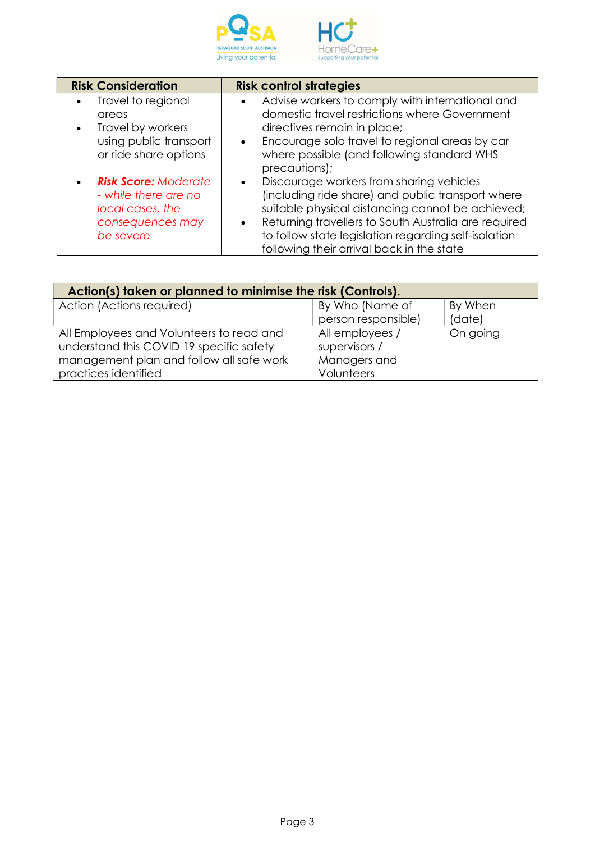

| <b>Risk Consideration</b>   | <b>Risk control strategies</b>                                    |
|-----------------------------|-------------------------------------------------------------------|
| Travel to regional          | Advise workers to comply with international and<br>$\bullet$      |
| areas                       | domestic travel restrictions where Government                     |
| Travel by workers           | directives remain in place;                                       |
| using public transport      | Encourage solo travel to regional areas by car<br>$\bullet$       |
| or ride share options       | where possible (and following standard WHS                        |
|                             | precautions);                                                     |
| <b>Risk Score: Moderate</b> | Discourage workers from sharing vehicles<br>$\bullet$             |
| - while there are no        | (including ride share) and public transport where                 |
| local cases, the            | suitable physical distancing cannot be achieved;                  |
| consequences may            | Returning travellers to South Australia are required<br>$\bullet$ |
| be severe                   | to follow state legislation regarding self-isolation              |
|                             | following their arrival back in the state                         |

| Action(s) taken or planned to minimise the risk (Controls). |                     |          |  |  |
|-------------------------------------------------------------|---------------------|----------|--|--|
| Action (Actions required)                                   | By Who (Name of     | By When  |  |  |
|                                                             | person responsible) | (date)   |  |  |
| All Employees and Volunteers to read and                    | All employees /     | On going |  |  |
| understand this COVID 19 specific safety                    | supervisors /       |          |  |  |
| management plan and follow all safe work                    | Managers and        |          |  |  |
| practices identified                                        | Volunteers          |          |  |  |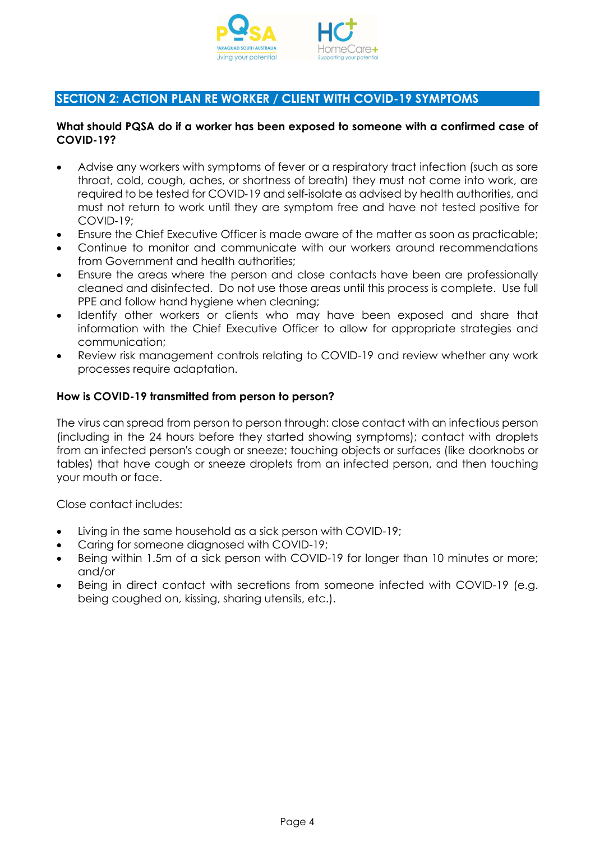

## SECTION 2: ACTION PLAN RE WORKER / CLIENT WITH COVID-19 SYMPTOMS

#### What should PQSA do if a worker has been exposed to someone with a confirmed case of COVID-19?

- Advise any workers with symptoms of fever or a respiratory tract infection (such as sore throat, cold, cough, aches, or shortness of breath) they must not come into work, are required to be tested for COVID‑19 and self-isolate as advised by health authorities, and must not return to work until they are symptom free and have not tested positive for COVID-19;
- Ensure the Chief Executive Officer is made aware of the matter as soon as practicable;
- Continue to monitor and communicate with our workers around recommendations from Government and health authorities;
- Ensure the areas where the person and close contacts have been are professionally cleaned and disinfected. Do not use those areas until this process is complete. Use full PPE and follow hand hygiene when cleaning;
- Identify other workers or clients who may have been exposed and share that information with the Chief Executive Officer to allow for appropriate strategies and communication;
- Review risk management controls relating to COVID-19 and review whether any work processes require adaptation.

#### How is COVID-19 transmitted from person to person?

The virus can spread from person to person through: close contact with an infectious person (including in the 24 hours before they started showing symptoms); contact with droplets from an infected person's cough or sneeze; touching objects or surfaces (like doorknobs or tables) that have cough or sneeze droplets from an infected person, and then touching your mouth or face.

Close contact includes:

- Living in the same household as a sick person with COVID-19;
- Caring for someone diagnosed with COVID-19;
- Being within 1.5m of a sick person with COVID-19 for longer than 10 minutes or more; and/or
- Being in direct contact with secretions from someone infected with COVID-19 (e.g. being coughed on, kissing, sharing utensils, etc.).